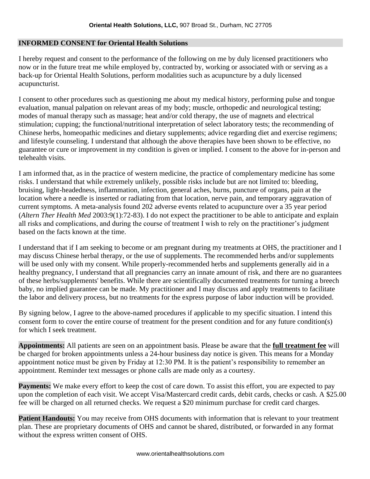#### **INFORMED CONSENT for Oriental Health Solutions**

I hereby request and consent to the performance of the following on me by duly licensed practitioners who now or in the future treat me while employed by, contracted by, working or associated with or serving as a back-up for Oriental Health Solutions, perform modalities such as acupuncture by a duly licensed acupuncturist.

I consent to other procedures such as questioning me about my medical history, performing pulse and tongue evaluation, manual palpation on relevant areas of my body; muscle, orthopedic and neurological testing; modes of manual therapy such as massage; heat and/or cold therapy, the use of magnets and electrical stimulation; cupping; the functional/nutritional interpretation of select laboratory tests; the recommending of Chinese herbs, homeopathic medicines and dietary supplements; advice regarding diet and exercise regimens; and lifestyle counseling. I understand that although the above therapies have been shown to be effective, no guarantee or cure or improvement in my condition is given or implied. I consent to the above for in-person and telehealth visits.

I am informed that, as in the practice of western medicine, the practice of complementary medicine has some risks. I understand that while extremely unlikely, possible risks include but are not limited to: bleeding, bruising, light-headedness, inflammation, infection, general aches, burns, puncture of organs, pain at the location where a needle is inserted or radiating from that location, nerve pain, and temporary aggravation of current symptoms. A meta-analysis found 202 adverse events related to acupuncture over a 35 year period (*Altern Ther Health Med* 2003:9(1):72-83). I do not expect the practitioner to be able to anticipate and explain all risks and complications, and during the course of treatment I wish to rely on the practitioner's judgment based on the facts known at the time.

I understand that if I am seeking to become or am pregnant during my treatments at OHS, the practitioner and I may discuss Chinese herbal therapy, or the use of supplements. The recommended herbs and/or supplements will be used only with my consent. While properly-recommended herbs and supplements generally aid in a healthy pregnancy, I understand that all pregnancies carry an innate amount of risk, and there are no guarantees of these herbs/supplements' benefits. While there are scientifically documented treatments for turning a breech baby, no implied guarantee can be made. My practitioner and I may discuss and apply treatments to facilitate the labor and delivery process, but no treatments for the express purpose of labor induction will be provided.

By signing below, I agree to the above-named procedures if applicable to my specific situation. I intend this consent form to cover the entire course of treatment for the present condition and for any future condition(s) for which I seek treatment.

**Appointments:** All patients are seen on an appointment basis. Please be aware that the **full treatment fee** will be charged for broken appointments unless a 24-hour business day notice is given. This means for a Monday appointment notice must be given by Friday at 12:30 PM. It is the patient's responsibility to remember an appointment. Reminder text messages or phone calls are made only as a courtesy.

**Payments:** We make every effort to keep the cost of care down. To assist this effort, you are expected to pay upon the completion of each visit. We accept Visa/Mastercard credit cards, debit cards, checks or cash. A \$25.00 fee will be charged on all returned checks. We request a \$20 minimum purchase for credit card charges.

Patient Handouts: You may receive from OHS documents with information that is relevant to your treatment plan. These are proprietary documents of OHS and cannot be shared, distributed, or forwarded in any format without the express written consent of OHS.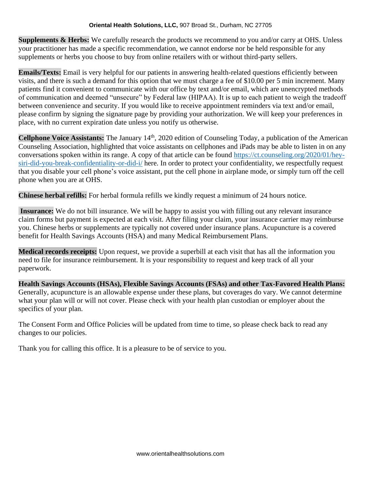**Supplements & Herbs:** We carefully research the products we recommend to you and/or carry at OHS. Unless your practitioner has made a specific recommendation, we cannot endorse nor be held responsible for any supplements or herbs you choose to buy from online retailers with or without third-party sellers.

**Emails/Texts:** Email is very helpful for our patients in answering health-related questions efficiently between visits, and there is such a demand for this option that we must charge a fee of \$10.00 per 5 min increment. Many patients find it convenient to communicate with our office by text and/or email, which are unencrypted methods of communication and deemed "unsecure" by Federal law (HIPAA). It is up to each patient to weigh the tradeoff between convenience and security. If you would like to receive appointment reminders via text and/or email, please confirm by signing the signature page by providing your authorization. We will keep your preferences in place, with no current expiration date unless you notify us otherwise.

Cellphone Voice Assistants: The January 14<sup>th</sup>, 2020 edition of Counseling Today, a publication of the American Counseling Association, highlighted that voice assistants on cellphones and iPads may be able to listen in on any conversations spoken within its range. A copy of that article can be found [https://ct.counseling.org/2020/01/hey](https://ct.counseling.org/2020/01/hey-siri-did-you-break-confidentiality-or-did-i/)[siri-did-you-break-confidentiality-or-did-i/](https://ct.counseling.org/2020/01/hey-siri-did-you-break-confidentiality-or-did-i/) here. In order to protect your confidentiality, we respectfully request that you disable your cell phone's voice assistant, put the cell phone in airplane mode, or simply turn off the cell phone when you are at OHS.

**Chinese herbal refills:** For herbal formula refills we kindly request a minimum of 24 hours notice.

**Insurance:** We do not bill insurance. We will be happy to assist you with filling out any relevant insurance claim forms but payment is expected at each visit. After filing your claim, your insurance carrier may reimburse you. Chinese herbs or supplements are typically not covered under insurance plans. Acupuncture is a covered benefit for Health Savings Accounts (HSA) and many Medical Reimbursement Plans.

**Medical records receipts:** Upon request, we provide a superbill at each visit that has all the information you need to file for insurance reimbursement. It is your responsibility to request and keep track of all your paperwork.

**Health Savings Accounts (HSAs), Flexible Savings Accounts (FSAs) and other Tax-Favored Health Plans:** Generally, acupuncture is an allowable expense under these plans, but coverages do vary. We cannot determine what your plan will or will not cover. Please check with your health plan custodian or employer about the specifics of your plan.

The Consent Form and Office Policies will be updated from time to time, so please check back to read any changes to our policies.

Thank you for calling this office. It is a pleasure to be of service to you.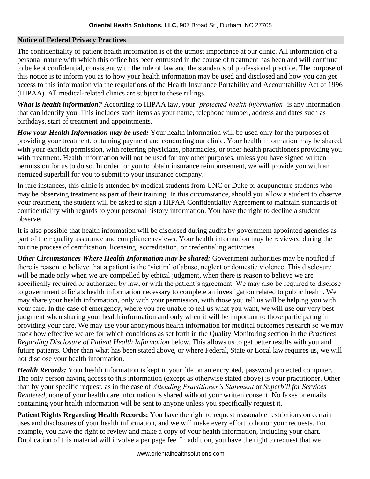#### **Notice of Federal Privacy Practices**

The confidentiality of patient health information is of the utmost importance at our clinic. All information of a personal nature with which this office has been entrusted in the course of treatment has been and will continue to be kept confidential, consistent with the rule of law and the standards of professional practice. The purpose of this notice is to inform you as to how your health information may be used and disclosed and how you can get access to this information via the regulations of the Health Insurance Portability and Accountability Act of 1996 (HIPAA). All medical-related clinics are subject to these rulings.

*What is health information?* According to HIPAA law, your *'protected health information'* is any information that can identify you. This includes such items as your name, telephone number, address and dates such as birthdays, start of treatment and appointments.

*How your Health Information may be used:* Your health information will be used only for the purposes of providing your treatment, obtaining payment and conducting our clinic. Your health information may be shared, with your explicit permission, with referring physicians, pharmacies, or other health practitioners providing you with treatment. Health information will not be used for any other purposes, unless you have signed written permission for us to do so. In order for you to obtain insurance reimbursement, we will provide you with an itemized superbill for you to submit to your insurance company.

In rare instances, this clinic is attended by medical students from UNC or Duke or acupuncture students who may be observing treatment as part of their training. In this circumstance, should you allow a student to observe your treatment, the student will be asked to sign a HIPAA Confidentiality Agreement to maintain standards of confidentiality with regards to your personal history information. You have the right to decline a student observer.

It is also possible that health information will be disclosed during audits by government appointed agencies as part of their quality assurance and compliance reviews. Your health information may be reviewed during the routine process of certification, licensing, accreditation, or credentialing activities.

*Other Circumstances Where Health Information may be shared:* Government authorities may be notified if there is reason to believe that a patient is the 'victim' of abuse, neglect or domestic violence. This disclosure will be made only when we are compelled by ethical judgment, when there is reason to believe we are specifically required or authorized by law, or with the patient's agreement. We may also be required to disclose to government officials health information necessary to complete an investigation related to public health. We may share your health information, only with your permission, with those you tell us will be helping you with your care. In the case of emergency, where you are unable to tell us what you want, we will use our very best judgment when sharing your health information and only when it will be important to those participating in providing your care. We may use your anonymous health information for medical outcomes research so we may track how effective we are for which conditions as set forth in the Quality Monitoring section in the *Practices Regarding Disclosure of Patient Health Information* below. This allows us to get better results with you and future patients. Other than what has been stated above, or where Federal, State or Local law requires us, we will not disclose your health information.

*Health Records:* Your health information is kept in your file on an encrypted, password protected computer. The only person having access to this information (except as otherwise stated above) is your practitioner. Other than by your specific request, as in the case of *Attending Practitioner's Statement* or *Superbill for Services Rendered*, none of your health care information is shared without your written consent. No faxes or emails containing your health information will be sent to anyone unless you specifically request it.

**Patient Rights Regarding Health Records:** You have the right to request reasonable restrictions on certain uses and disclosures of your health information, and we will make every effort to honor your requests. For example, you have the right to review and make a copy of your health information, including your chart. Duplication of this material will involve a per page fee. In addition, you have the right to request that we